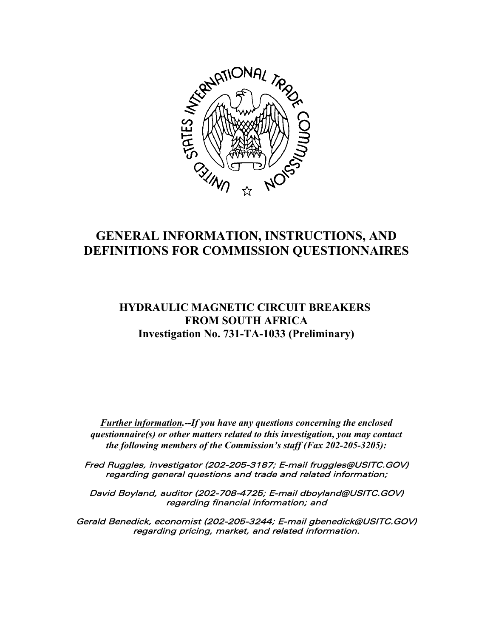

# **GENERAL INFORMATION, INSTRUCTIONS, AND DEFINITIONS FOR COMMISSION QUESTIONNAIRES**

## **HYDRAULIC MAGNETIC CIRCUIT BREAKERS FROM SOUTH AFRICA Investigation No. 731-TA-1033 (Preliminary)**

*Further information.--If you have any questions concerning the enclosed questionnaire(s) or other matters related to this investigation, you may contact the following members of the Commission's staff (Fax 202-205-3205):*

Fred Ruggles, investigator (202-205-3187; E-mail fruggles@USITC.GOV) regarding general questions and trade and related information;

David Boyland, auditor (202-708-4725; E-mail dboyland@USITC.GOV) regarding financial information; and

Gerald Benedick, economist (202-205-3244; E-mail gbenedick@USITC.GOV) regarding pricing, market, and related information.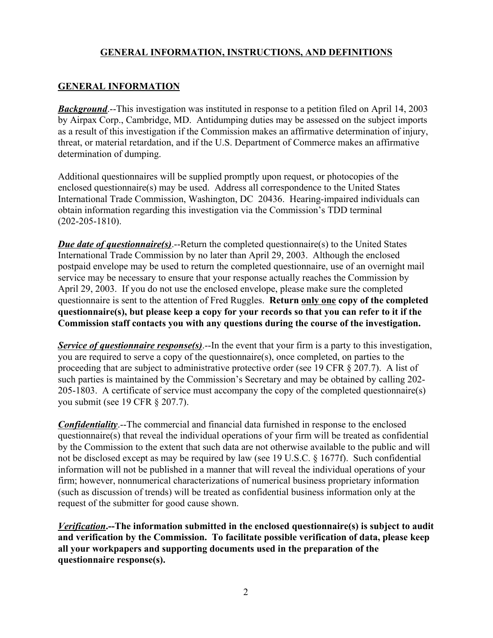### **GENERAL INFORMATION**

**Background**.--This investigation was instituted in response to a petition filed on April 14, 2003 by Airpax Corp., Cambridge, MD. Antidumping duties may be assessed on the subject imports as a result of this investigation if the Commission makes an affirmative determination of injury, threat, or material retardation, and if the U.S. Department of Commerce makes an affirmative determination of dumping.

Additional questionnaires will be supplied promptly upon request, or photocopies of the enclosed questionnaire(s) may be used. Address all correspondence to the United States International Trade Commission, Washington, DC 20436. Hearing-impaired individuals can obtain information regarding this investigation via the Commission's TDD terminal (202-205-1810).

*Due date of questionnaire(s)*.--Return the completed questionnaire(s) to the United States International Trade Commission by no later than April 29, 2003. Although the enclosed postpaid envelope may be used to return the completed questionnaire, use of an overnight mail service may be necessary to ensure that your response actually reaches the Commission by April 29, 2003. If you do not use the enclosed envelope, please make sure the completed questionnaire is sent to the attention of Fred Ruggles. **Return only one copy of the completed questionnaire(s), but please keep a copy for your records so that you can refer to it if the Commission staff contacts you with any questions during the course of the investigation.**

*Service of questionnaire response(s)*.--In the event that your firm is a party to this investigation, you are required to serve a copy of the questionnaire(s), once completed, on parties to the proceeding that are subject to administrative protective order (see 19 CFR § 207.7). A list of such parties is maintained by the Commission's Secretary and may be obtained by calling 202- 205-1803. A certificate of service must accompany the copy of the completed questionnaire(s) you submit (see 19 CFR § 207.7).

*Confidentiality*.--The commercial and financial data furnished in response to the enclosed questionnaire(s) that reveal the individual operations of your firm will be treated as confidential by the Commission to the extent that such data are not otherwise available to the public and will not be disclosed except as may be required by law (see 19 U.S.C. § 1677f). Such confidential information will not be published in a manner that will reveal the individual operations of your firm; however, nonnumerical characterizations of numerical business proprietary information (such as discussion of trends) will be treated as confidential business information only at the request of the submitter for good cause shown.

*Verification***.--The information submitted in the enclosed questionnaire(s) is subject to audit and verification by the Commission. To facilitate possible verification of data, please keep all your workpapers and supporting documents used in the preparation of the questionnaire response(s).**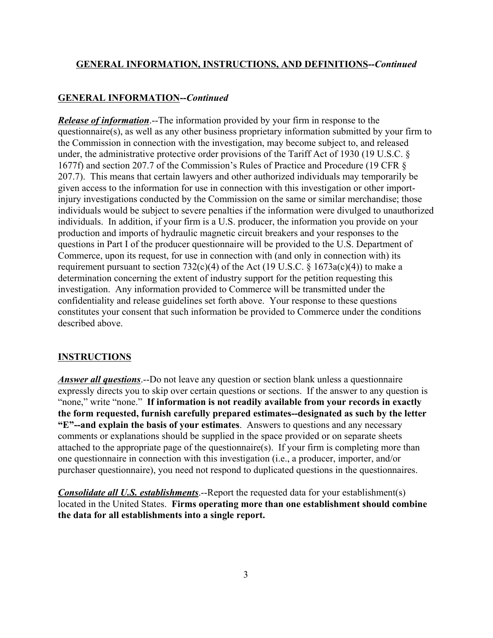#### **GENERAL INFORMATION--***Continued*

*Release of information*.--The information provided by your firm in response to the questionnaire(s), as well as any other business proprietary information submitted by your firm to the Commission in connection with the investigation, may become subject to, and released under, the administrative protective order provisions of the Tariff Act of 1930 (19 U.S.C. § 1677f) and section 207.7 of the Commission's Rules of Practice and Procedure (19 CFR § 207.7). This means that certain lawyers and other authorized individuals may temporarily be given access to the information for use in connection with this investigation or other importinjury investigations conducted by the Commission on the same or similar merchandise; those individuals would be subject to severe penalties if the information were divulged to unauthorized individuals. In addition, if your firm is a U.S. producer, the information you provide on your production and imports of hydraulic magnetic circuit breakers and your responses to the questions in Part I of the producer questionnaire will be provided to the U.S. Department of Commerce, upon its request, for use in connection with (and only in connection with) its requirement pursuant to section 732(c)(4) of the Act (19 U.S.C.  $\S$  1673a(c)(4)) to make a determination concerning the extent of industry support for the petition requesting this investigation. Any information provided to Commerce will be transmitted under the confidentiality and release guidelines set forth above. Your response to these questions constitutes your consent that such information be provided to Commerce under the conditions described above.

#### **INSTRUCTIONS**

*Answer all questions*.--Do not leave any question or section blank unless a questionnaire expressly directs you to skip over certain questions or sections. If the answer to any question is "none," write "none." **If information is not readily available from your records in exactly the form requested, furnish carefully prepared estimates--designated as such by the letter "E"--and explain the basis of your estimates**. Answers to questions and any necessary comments or explanations should be supplied in the space provided or on separate sheets attached to the appropriate page of the questionnaire(s). If your firm is completing more than one questionnaire in connection with this investigation (i.e., a producer, importer, and/or purchaser questionnaire), you need not respond to duplicated questions in the questionnaires.

*Consolidate all U.S. establishments*.--Report the requested data for your establishment(s) located in the United States. **Firms operating more than one establishment should combine the data for all establishments into a single report.**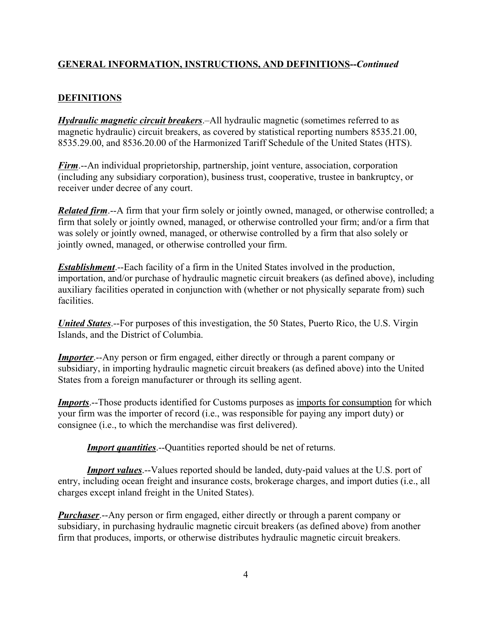### **DEFINITIONS**

*Hydraulic magnetic circuit breakers*.–All hydraulic magnetic (sometimes referred to as magnetic hydraulic) circuit breakers, as covered by statistical reporting numbers 8535.21.00, 8535.29.00, and 8536.20.00 of the Harmonized Tariff Schedule of the United States (HTS).

*Firm*.--An individual proprietorship, partnership, joint venture, association, corporation (including any subsidiary corporation), business trust, cooperative, trustee in bankruptcy, or receiver under decree of any court.

*Related firm.*--A firm that your firm solely or jointly owned, managed, or otherwise controlled; a firm that solely or jointly owned, managed, or otherwise controlled your firm; and/or a firm that was solely or jointly owned, managed, or otherwise controlled by a firm that also solely or jointly owned, managed, or otherwise controlled your firm.

*Establishment*.--Each facility of a firm in the United States involved in the production, importation, and/or purchase of hydraulic magnetic circuit breakers (as defined above), including auxiliary facilities operated in conjunction with (whether or not physically separate from) such facilities.

*United States*.--For purposes of this investigation, the 50 States, Puerto Rico, the U.S. Virgin Islands, and the District of Columbia.

*Importer*.--Any person or firm engaged, either directly or through a parent company or subsidiary, in importing hydraulic magnetic circuit breakers (as defined above) into the United States from a foreign manufacturer or through its selling agent.

*Imports*.--Those products identified for Customs purposes as imports for consumption for which your firm was the importer of record (i.e., was responsible for paying any import duty) or consignee (i.e., to which the merchandise was first delivered).

**Import quantities**.--Quantities reported should be net of returns.

*Import values*.--Values reported should be landed, duty-paid values at the U.S. port of entry, including ocean freight and insurance costs, brokerage charges, and import duties (i.e., all charges except inland freight in the United States).

*Purchaser*.--Any person or firm engaged, either directly or through a parent company or subsidiary, in purchasing hydraulic magnetic circuit breakers (as defined above) from another firm that produces, imports, or otherwise distributes hydraulic magnetic circuit breakers.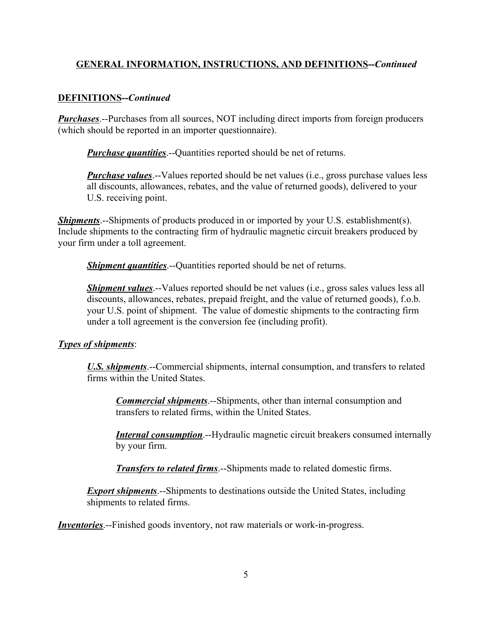#### **DEFINITIONS--***Continued*

*Purchases*.--Purchases from all sources, NOT including direct imports from foreign producers (which should be reported in an importer questionnaire).

*Purchase quantities*. -- Quantities reported should be net of returns.

*Purchase values*.--Values reported should be net values (i.e., gross purchase values less all discounts, allowances, rebates, and the value of returned goods), delivered to your U.S. receiving point.

*Shipments*.--Shipments of products produced in or imported by your U.S. establishment(s). Include shipments to the contracting firm of hydraulic magnetic circuit breakers produced by your firm under a toll agreement.

*Shipment quantities*.--Quantities reported should be net of returns.

*Shipment values*.--Values reported should be net values (*i.e.*, gross sales values less all discounts, allowances, rebates, prepaid freight, and the value of returned goods), f.o.b. your U.S. point of shipment. The value of domestic shipments to the contracting firm under a toll agreement is the conversion fee (including profit).

#### *Types of shipments*:

*U.S. shipments*.--Commercial shipments, internal consumption, and transfers to related firms within the United States.

*Commercial shipments*.--Shipments, other than internal consumption and transfers to related firms, within the United States.

*Internal consumption*.--Hydraulic magnetic circuit breakers consumed internally by your firm.

*Transfers to related firms*.--Shipments made to related domestic firms.

*Export shipments*.--Shipments to destinations outside the United States, including shipments to related firms.

*Inventories*.--Finished goods inventory, not raw materials or work-in-progress.